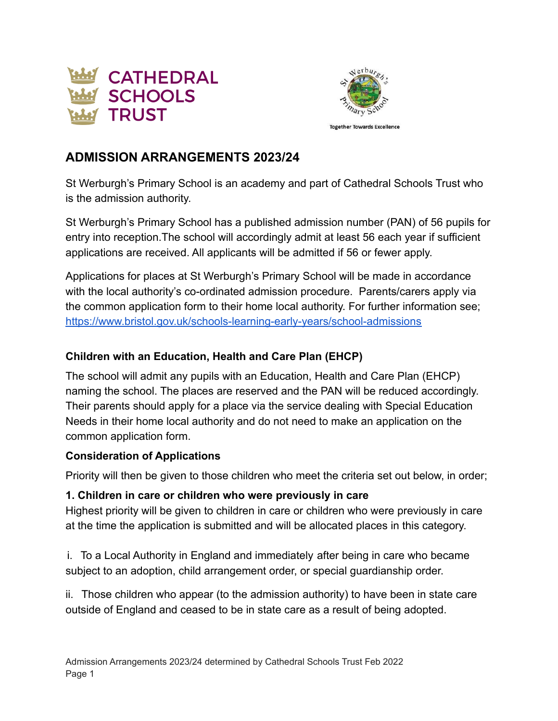



# **ADMISSION ARRANGEMENTS 2023/24**

St Werburgh's Primary School is an academy and part of Cathedral Schools Trust who is the admission authority.

St Werburgh's Primary School has a published admission number (PAN) of 56 pupils for entry into reception.The school will accordingly admit at least 56 each year if sufficient applications are received. All applicants will be admitted if 56 or fewer apply.

Applications for places at St Werburgh's Primary School will be made in accordance with the local authority's co-ordinated admission procedure. Parents/carers apply via the common application form to their home local authority. For further information see; <https://www.bristol.gov.uk/schools-learning-early-years/school-admissions>

#### **Children with an Education, Health and Care Plan (EHCP)**

The school will admit any pupils with an Education, Health and Care Plan (EHCP) naming the school. The places are reserved and the PAN will be reduced accordingly. Their parents should apply for a place via the service dealing with Special Education Needs in their home local authority and do not need to make an application on the common application form.

#### **Consideration of Applications**

Priority will then be given to those children who meet the criteria set out below, in order;

### **1. Children in care or children who were previously in care**

Highest priority will be given to children in care or children who were previously in care at the time the application is submitted and will be allocated places in this category.

i. To a Local Authority in England and immediately after being in care who became subject to an adoption, child arrangement order, or special guardianship order.

ii. Those children who appear (to the admission authority) to have been in state care outside of England and ceased to be in state care as a result of being adopted.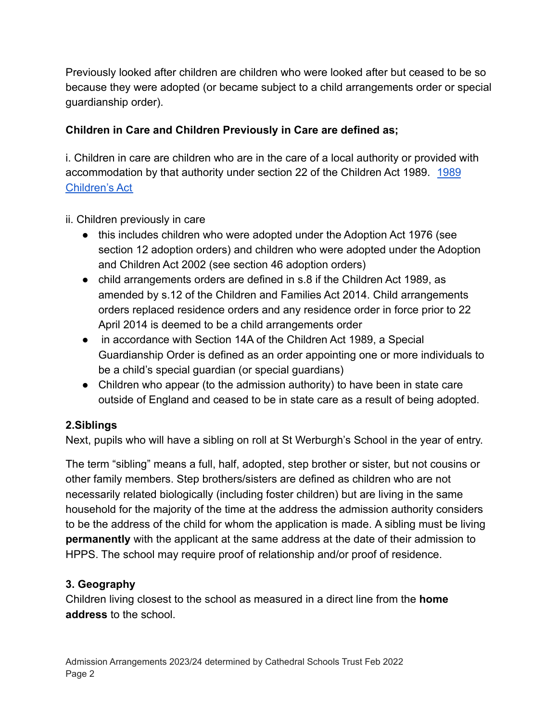Previously looked after children are children who were looked after but ceased to be so because they were adopted (or became subject to a child arrangements order or special guardianship order).

## **Children in Care and Children Previously in Care are defined as;**

i. Children in care are children who are in the care of a local authority or provided with accommodation by that authority under section 22 of the Children Act 1989. [1989](https://www.legislation.gov.uk/ukpga/1989/41/contents) [Children's Act](https://www.legislation.gov.uk/ukpga/1989/41/contents)

### ii. Children previously in care

- this includes children who were adopted under the Adoption Act 1976 (see section 12 adoption orders) and children who were adopted under the Adoption and Children Act 2002 (see section 46 adoption orders)
- child arrangements orders are defined in s.8 if the Children Act 1989, as amended by s.12 of the Children and Families Act 2014. Child arrangements orders replaced residence orders and any residence order in force prior to 22 April 2014 is deemed to be a child arrangements order
- in accordance with Section 14A of the Children Act 1989, a Special Guardianship Order is defined as an order appointing one or more individuals to be a child's special guardian (or special guardians)
- Children who appear (to the admission authority) to have been in state care outside of England and ceased to be in state care as a result of being adopted.

### **2.Siblings**

Next, pupils who will have a sibling on roll at St Werburgh's School in the year of entry.

The term "sibling" means a full, half, adopted, step brother or sister, but not cousins or other family members. Step brothers/sisters are defined as children who are not necessarily related biologically (including foster children) but are living in the same household for the majority of the time at the address the admission authority considers to be the address of the child for whom the application is made. A sibling must be living **permanently** with the applicant at the same address at the date of their admission to HPPS. The school may require proof of relationship and/or proof of residence.

### **3. Geography**

Children living closest to the school as measured in a direct line from the **home address** to the school.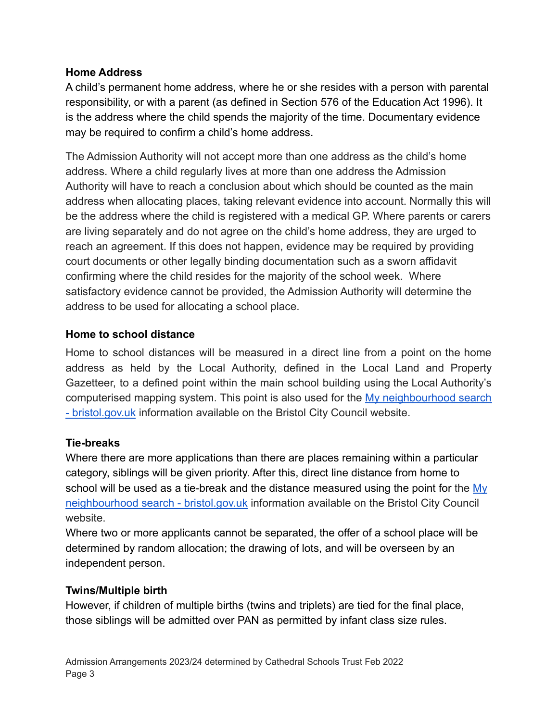#### **Home Address**

A child's permanent home address, where he or she resides with a person with parental responsibility, or with a parent (as defined in Section 576 of the Education Act 1996). It is the address where the child spends the majority of the time. Documentary evidence may be required to confirm a child's home address.

The Admission Authority will not accept more than one address as the child's home address. Where a child regularly lives at more than one address the Admission Authority will have to reach a conclusion about which should be counted as the main address when allocating places, taking relevant evidence into account. Normally this will be the address where the child is registered with a medical GP. Where parents or carers are living separately and do not agree on the child's home address, they are urged to reach an agreement. If this does not happen, evidence may be required by providing court documents or other legally binding documentation such as a sworn affidavit confirming where the child resides for the majority of the school week. Where satisfactory evidence cannot be provided, the Admission Authority will determine the address to be used for allocating a school place.

### **Home to school distance**

Home to school distances will be measured in a direct line from a point on the home address as held by the Local Authority, defined in the Local Land and Property Gazetteer, to a defined point within the main school building using the Local Authority's computerised mapping system. This point is also used for the My [neighbourhood](https://www.bristol.gov.uk/people-communities/my-neighbourhood-search) search [- bristol.gov.uk](https://www.bristol.gov.uk/people-communities/my-neighbourhood-search) information available on the Bristol City Council website.

#### **Tie-breaks**

Where there are more applications than there are places remaining within a particular category, siblings will be given priority. After this, direct line distance from home to school will be used as a tie-break and the distance measured using the point for the [My](https://www.bristol.gov.uk/people-communities/my-neighbourhood-search) [neighbourhood search - bristol.gov.uk](https://www.bristol.gov.uk/people-communities/my-neighbourhood-search) information available on the Bristol City Council website.

Where two or more applicants cannot be separated, the offer of a school place will be determined by random allocation; the drawing of lots, and will be overseen by an independent person.

#### **Twins/Multiple birth**

However, if children of multiple births (twins and triplets) are tied for the final place, those siblings will be admitted over PAN as permitted by infant class size rules.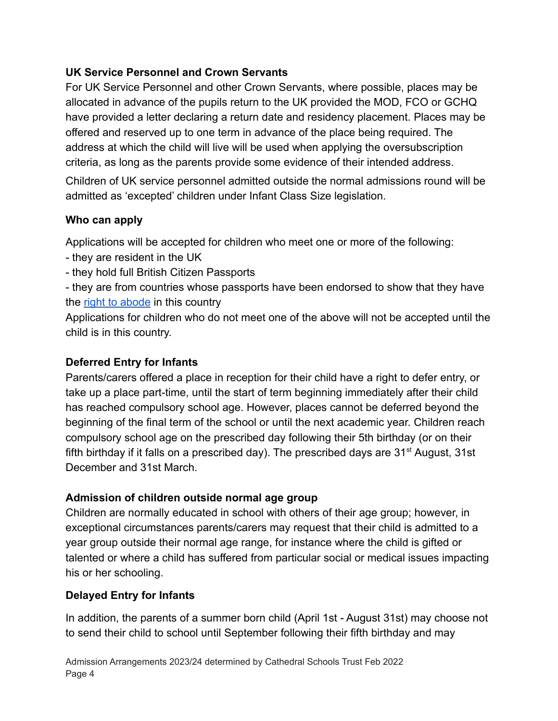### **UK Service Personnel and Crown Servants**

For UK Service Personnel and other Crown Servants, where possible, places may be allocated in advance of the pupils return to the UK provided the MOD, FCO or GCHQ have provided a letter declaring a return date and residency placement. Places may be offered and reserved up to one term in advance of the place being required. The address at which the child will live will be used when applying the oversubscription criteria, as long as the parents provide some evidence of their intended address.

Children of UK service personnel admitted outside the normal admissions round will be admitted as 'excepted' children under Infant Class Size legislation.

## **Who can apply**

Applications will be accepted for children who meet one or more of the following:

- they are resident in the UK
- they hold full British Citizen Passports
- they are from countries whose passports have been endorsed to show that they have the [right to abode](https://www.gov.uk/right-of-abode) in this country

Applications for children who do not meet one of the above will not be accepted until the child is in this country.

### **Deferred Entry for Infants**

Parents/carers offered a place in reception for their child have a right to defer entry, or take up a place part-time, until the start of term beginning immediately after their child has reached compulsory school age. However, places cannot be deferred beyond the beginning of the final term of the school or until the next academic year. Children reach compulsory school age on the prescribed day following their 5th birthday (or on their fifth birthday if it falls on a prescribed day). The prescribed days are  $31<sup>st</sup>$  August, 31st December and 31st March.

### **Admission of children outside normal age group**

Children are normally educated in school with others of their age group; however, in exceptional circumstances parents/carers may request that their child is admitted to a year group outside their normal age range, for instance where the child is gifted or talented or where a child has suffered from particular social or medical issues impacting his or her schooling.

## **Delayed Entry for Infants**

In addition, the parents of a summer born child (April 1st - August 31st) may choose not to send their child to school until September following their fifth birthday and may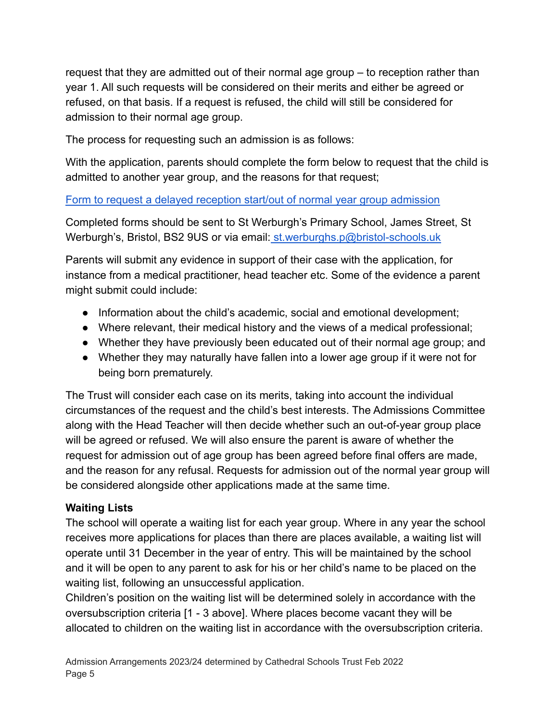request that they are admitted out of their normal age group – to reception rather than year 1. All such requests will be considered on their merits and either be agreed or refused, on that basis. If a request is refused, the child will still be considered for admission to their normal age group.

The process for requesting such an admission is as follows:

With the application, parents should complete the form below to request that the child is admitted to another year group, and the reasons for that request;

### [Form to request a delayed reception start/out of normal year group admission](https://docs.google.com/document/d/12UqZyden_eGu06tuVAJv3ynaT6jbC3ba/edit?usp=sharing&ouid=111971969837556975984&rtpof=true&sd=true)

Completed forms should be sent to St Werburgh's Primary School, James Street, St Werburgh's, Bristol, BS2 9US or via email: [st.werburghs.p@bristol-schools.uk](mailto:st.werburghs.p@bristol-schools.uk)

Parents will submit any evidence in support of their case with the application, for instance from a medical practitioner, head teacher etc. Some of the evidence a parent might submit could include:

- Information about the child's academic, social and emotional development;
- Where relevant, their medical history and the views of a medical professional;
- Whether they have previously been educated out of their normal age group; and
- Whether they may naturally have fallen into a lower age group if it were not for being born prematurely.

The Trust will consider each case on its merits, taking into account the individual circumstances of the request and the child's best interests. The Admissions Committee along with the Head Teacher will then decide whether such an out-of-year group place will be agreed or refused. We will also ensure the parent is aware of whether the request for admission out of age group has been agreed before final offers are made, and the reason for any refusal. Requests for admission out of the normal year group will be considered alongside other applications made at the same time.

## **Waiting Lists**

The school will operate a waiting list for each year group. Where in any year the school receives more applications for places than there are places available, a waiting list will operate until 31 December in the year of entry. This will be maintained by the school and it will be open to any parent to ask for his or her child's name to be placed on the waiting list, following an unsuccessful application.

Children's position on the waiting list will be determined solely in accordance with the oversubscription criteria [1 - 3 above]. Where places become vacant they will be allocated to children on the waiting list in accordance with the oversubscription criteria.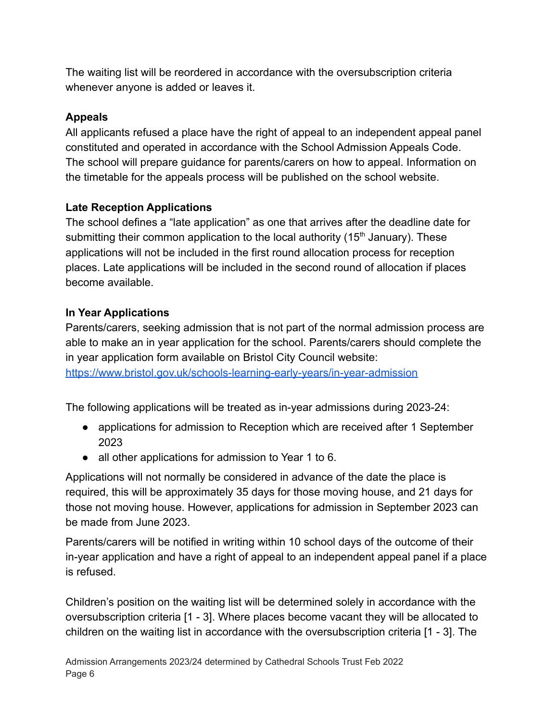The waiting list will be reordered in accordance with the oversubscription criteria whenever anyone is added or leaves it.

## **Appeals**

All applicants refused a place have the right of appeal to an independent appeal panel constituted and operated in accordance with the School Admission Appeals Code. The school will prepare guidance for parents/carers on how to appeal. Information on the timetable for the appeals process will be published on the school website.

# **Late Reception Applications**

The school defines a "late application" as one that arrives after the deadline date for submitting their common application to the local authority ( $15<sup>th</sup>$  January). These applications will not be included in the first round allocation process for reception places. Late applications will be included in the second round of allocation if places become available.

# **In Year Applications**

Parents/carers, seeking admission that is not part of the normal admission process are able to make an in year application for the school. Parents/carers should complete the in year application form available on Bristol City Council website: <https://www.bristol.gov.uk/schools-learning-early-years/in-year-admission>

The following applications will be treated as in-year admissions during 2023-24:

- applications for admission to Reception which are received after 1 September 2023
- all other applications for admission to Year 1 to 6.

Applications will not normally be considered in advance of the date the place is required, this will be approximately 35 days for those moving house, and 21 days for those not moving house. However, applications for admission in September 2023 can be made from June 2023.

Parents/carers will be notified in writing within 10 school days of the outcome of their in-year application and have a right of appeal to an independent appeal panel if a place is refused.

Children's position on the waiting list will be determined solely in accordance with the oversubscription criteria [1 - 3]. Where places become vacant they will be allocated to children on the waiting list in accordance with the oversubscription criteria [1 - 3]. The